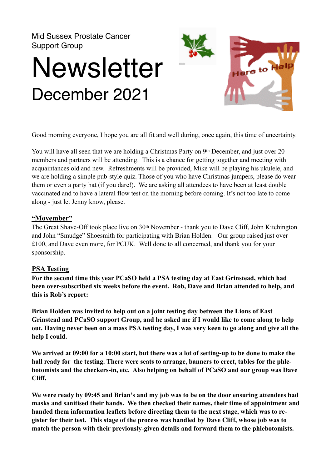Mid Sussex Prostate Cancer Support Group

# **Newsletter** December 2021



Good morning everyone, I hope you are all fit and well during, once again, this time of uncertainty.

You will have all seen that we are holding a Christmas Party on 9th December, and just over 20 members and partners will be attending. This is a chance for getting together and meeting with acquaintances old and new. Refreshments will be provided, Mike will be playing his ukulele, and we are holding a simple pub-style quiz. Those of you who have Christmas jumpers, please do wear them or even a party hat (if you dare!). We are asking all attendees to have been at least double vaccinated and to have a lateral flow test on the morning before coming. It's not too late to come along - just let Jenny know, please.

### **"Movember"**

The Great Shave-Off took place live on 30<sup>th</sup> November - thank you to Dave Cliff, John Kitchington and John "Smudge" Shoesmith for participating with Brian Holden. Our group raised just over £100, and Dave even more, for PCUK. Well done to all concerned, and thank you for your sponsorship.

## **PSA Testing**

**For the second time this year PCaSO held a PSA testing day at East Grinstead, which had been over-subscribed six weeks before the event. Rob, Dave and Brian attended to help, and this is Rob's report:** 

**Brian Holden was invited to help out on a joint testing day between the Lions of East Grinstead and PCaSO support Group, and he asked me if I would like to come along to help out. Having never been on a mass PSA testing day, I was very keen to go along and give all the help I could.** 

**We arrived at 09:00 for a 10:00 start, but there was a lot of setting-up to be done to make the hall ready for the testing. There were seats to arrange, banners to erect, tables for the phlebotomists and the checkers-in, etc. Also helping on behalf of PCaSO and our group was Dave Cliff.** 

**We were ready by 09:45 and Brian's and my job was to be on the door ensuring attendees had masks and sanitised their hands. We then checked their names, their time of appointment and handed them information leaflets before directing them to the next stage, which was to register for their test. This stage of the process was handled by Dave Cliff, whose job was to match the person with their previously-given details and forward them to the phlebotomists.**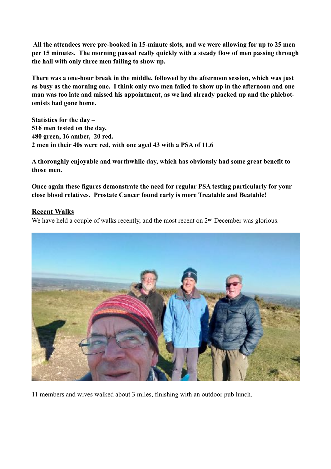**All the attendees were pre-booked in 15-minute slots, and we were allowing for up to 25 men per 15 minutes. The morning passed really quickly with a steady flow of men passing through the hall with only three men failing to show up.** 

**There was a one-hour break in the middle, followed by the afternoon session, which was just as busy as the morning one. I think only two men failed to show up in the afternoon and one man was too late and missed his appointment, as we had already packed up and the phlebotomists had gone home.** 

**Statistics for the day – 516 men tested on the day. 480 green, 16 amber, 20 red. 2 men in their 40s were red, with one aged 43 with a PSA of 11.6** 

**A thoroughly enjoyable and worthwhile day, which has obviously had some great benefit to those men.** 

**Once again these figures demonstrate the need for regular PSA testing particularly for your close blood relatives. Prostate Cancer found early is more Treatable and Beatable!** 

## **Recent Walks**

We have held a couple of walks recently, and the most recent on 2<sup>nd</sup> December was glorious.



11 members and wives walked about 3 miles, finishing with an outdoor pub lunch.